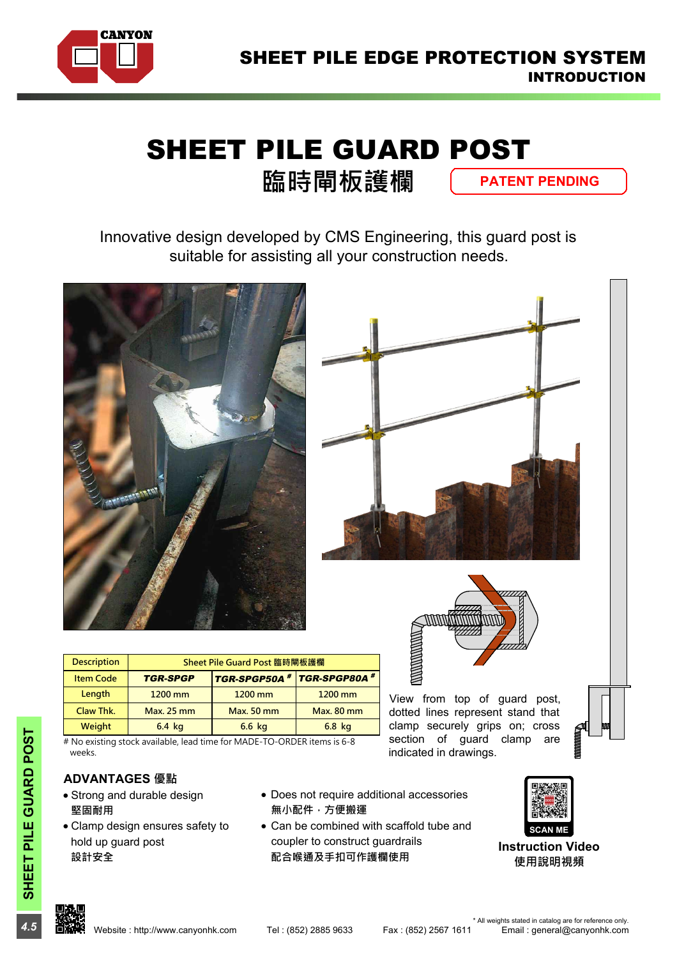

# SHEET PILE GUARD POST

**臨時閘板護欄**

**PATENT PENDING**

Innovative design developed by CMS Engineering, this guard post is suitable for assisting all your construction needs.







dotted lines represent stand that section of guard clamp are indicated in drawings.

| W |  |
|---|--|

|                                                                        |                              |                             |                   | И<br>7777A                             |                    |
|------------------------------------------------------------------------|------------------------------|-----------------------------|-------------------|----------------------------------------|--------------------|
| <b>Description</b>                                                     | Sheet Pile Guard Post 臨時閘板護欄 |                             |                   |                                        |                    |
| <b>Item Code</b>                                                       | <b>TGR-SPGP</b>              | TGR-SPGP50A # TGR-SPGP80A # |                   |                                        |                    |
| Length                                                                 | $1200$ mm                    | 1200 mm                     | $1200$ mm         | View from top of guard post,           |                    |
| Claw Thk.                                                              | <b>Max. 25 mm</b>            | <b>Max. 50 mm</b>           | <b>Max. 80 mm</b> | dotted lines represent stand that      |                    |
| Weight                                                                 | $6.4$ kg                     | 6.6 kg                      | 6.8 kg            | clamp securely grips on; cross         | Ш<br><b>SEPTER</b> |
| # No existing stock available lead time for MADE-TO-ORDER items is 6-8 |                              |                             |                   | section<br>οt<br>clamp<br>quard<br>are |                    |

# No existing stock available, lead time for MADE-TO-ORDER items is 6-8 weeks.

### **ADVANTAGES 優點**

- · Strong and durable design **堅固耐用**
- **4.5**<br> **4.5**<br> **4.5**<br> **2.02**<br> **2.02**<br> **2.02**<br> **4.5**<br> **2.5**<br> **2.02**<br> **2.02**<br> **2.02**<br> **2.02**<br> **2.02**<br> **2.02**<br> **2.02**<br> **2.02**<br> **2.03**<br> **2.03**<br> **2.03**<br> **2.03**<br> **2.04**<br> **2.04**<br> **2.04**<br> **2.04**<br> **2.04**<br> **2.04**<br> **2.04**<br> **2.04**<br> **2** · Clamp design ensures safety to hold up guard post **設計安全**
- · Does not require additional accessories **無小配件,方便搬運**
- Can be combined with scaffold tube and coupler to construct guardrails **配合喉通及手扣可作護欄使用**



**Instruction Video 使用說明視頻**